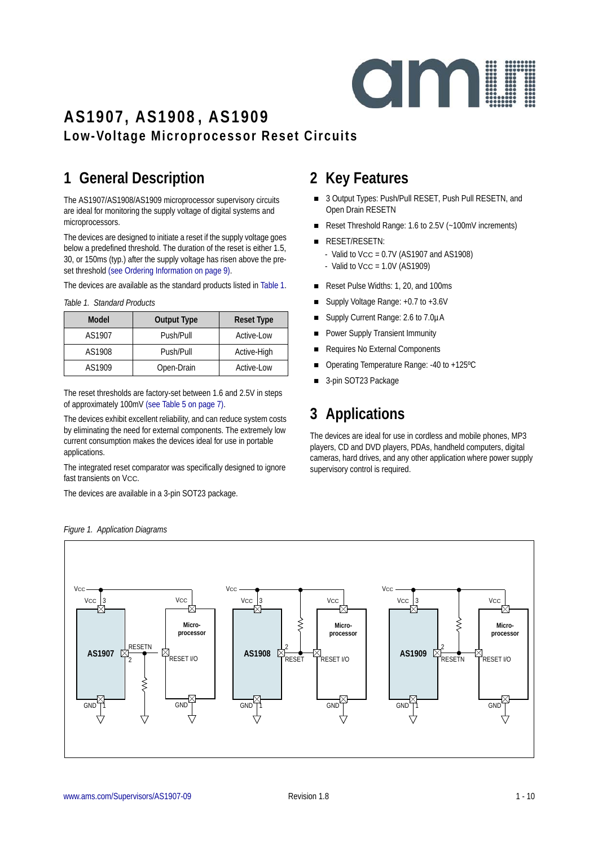

### **AS1907, AS1908, AS1909 Low-Voltage Microprocessor Reset Circuits**

## **1 General Description**

The AS1907/AS1908/AS1909 microprocessor supervisory circuits are ideal for monitoring the supply voltage of digital systems and microprocessors.

The devices are designed to initiate a reset if the supply voltage goes below a predefined threshold. The duration of the reset is either 1.5, 30, or 150ms (typ.) after the supply voltage has risen above the preset threshold [\(see Ordering Information on page 9\)](#page-8-0).

The devices are available as the standard products listed in [Table 1](#page-0-0).

| Model  | <b>Output Type</b> | <b>Reset Type</b> |
|--------|--------------------|-------------------|
| AS1907 | Push/Pull          | Active-Low        |
| AS1908 | Push/Pull          | Active-High       |
| AS1909 | Open-Drain         | Active-Low        |

<span id="page-0-0"></span>*Table 1. Standard Products*

The reset thresholds are factory-set between 1.6 and 2.5V in steps of approximately 100mV [\(see Table 5 on page 7\)](#page-6-0).

The devices exhibit excellent reliability, and can reduce system costs by eliminating the need for external components. The extremely low current consumption makes the devices ideal for use in portable applications.

The integrated reset comparator was specifically designed to ignore fast transients on Vcc.

The devices are available in a 3-pin SOT23 package.

### **2 Key Features**

- 3 Output Types: Push/Pull RESET, Push Pull RESETN, and Open Drain RESETN
- Reset Threshold Range: 1.6 to 2.5V (~100mV increments)
- **RESET/RESETN:** - Valid to  $VCC = 0.7V$  (AS1907 and AS1908)  $-$  Valid to Vcc = 1.0V (AS1909)
- Reset Pulse Widths: 1, 20, and 100ms
- Supply Voltage Range: +0.7 to +3.6V
- Supply Current Range: 2.6 to 7.0µA
- Power Supply Transient Immunity
- Requires No External Components
- Operating Temperature Range: -40 to +125ºC
- 3-pin SOT23 Package

## **3 Applications**

The devices are ideal for use in cordless and mobile phones, MP3 players, CD and DVD players, PDAs, handheld computers, digital cameras, hard drives, and any other application where power supply supervisory control is required.



<span id="page-0-1"></span>*Figure 1. Application Diagrams*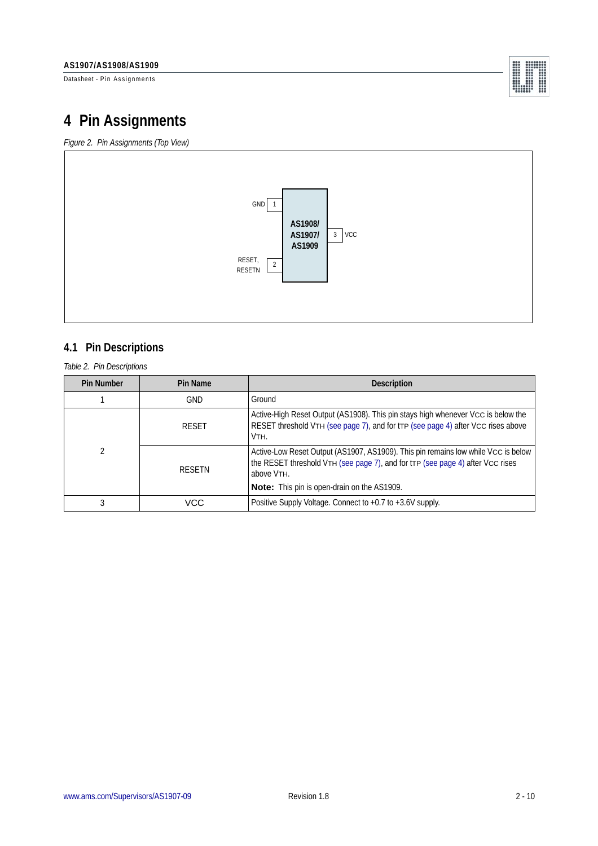Datasheet - Pin Assignments

|          | 000000000   |        |
|----------|-------------|--------|
| 0.0.0    | 00000000    |        |
| 699      | 000000000   |        |
| 000      | 00000000    |        |
|          | 0000000     |        |
| 000      | $000$ $000$ |        |
| ***      | 00000000    |        |
|          | $-0.0.0$    | 0.0.0  |
| 0.0.0    | 0.00        | 0.0.0  |
|          |             | 0.0.0  |
| ******** |             | $0.06$ |
| 0000000  |             |        |

## **4 Pin Assignments**

*Figure 2. Pin Assignments (Top View)*



### **4.1 Pin Descriptions**

*Table 2. Pin Descriptions*

| <b>Pin Number</b> | Pin Name      | <b>Description</b>                                                                                                                                                                |
|-------------------|---------------|-----------------------------------------------------------------------------------------------------------------------------------------------------------------------------------|
|                   | <b>GND</b>    | Ground                                                                                                                                                                            |
|                   | <b>RESET</b>  | Active-High Reset Output (AS1908). This pin stays high whenever Vcc is below the<br>RESET threshold VTH (see page 7), and for trp (see page 4) after Vcc rises above<br>VTH.      |
| 2                 | <b>RESETN</b> | Active-Low Reset Output (AS1907, AS1909). This pin remains low while Vcc is below<br>the RESET threshold VTH (see page 7), and for tTP (see page 4) after Vcc rises<br>above VTH. |
|                   |               | <b>Note:</b> This pin is open-drain on the AS1909.                                                                                                                                |
|                   | VCC           | Positive Supply Voltage. Connect to +0.7 to +3.6V supply.                                                                                                                         |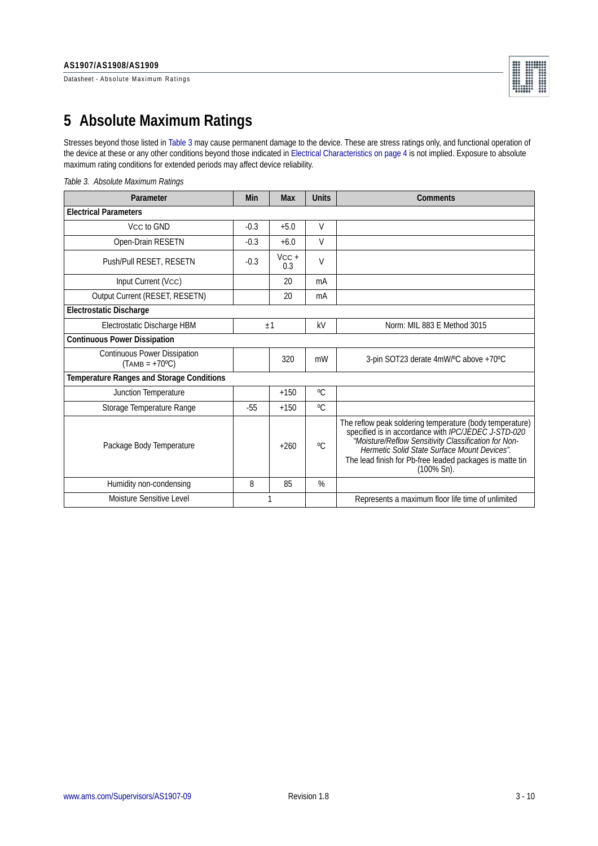Datasheet - Absolute Maximum Ratings



## **5 Absolute Maximum Ratings**

Stresses beyond those listed in [Table 3](#page-2-0) may cause permanent damage to the device. These are stress ratings only, and functional operation of the device at these or any other conditions beyond those indicated in [Electrical Characteristics on page 4](#page-3-1) is not implied. Exposure to absolute maximum rating conditions for extended periods may affect device reliability.

| Parameter                                        | Min    | <b>Max</b>     | <b>Units</b> | Comments                                                                                                                                                                                                                                                                                                     |
|--------------------------------------------------|--------|----------------|--------------|--------------------------------------------------------------------------------------------------------------------------------------------------------------------------------------------------------------------------------------------------------------------------------------------------------------|
| <b>Electrical Parameters</b>                     |        |                |              |                                                                                                                                                                                                                                                                                                              |
| Vcc to GND                                       | $-0.3$ | $+5.0$         | $\vee$       |                                                                                                                                                                                                                                                                                                              |
| Open-Drain RESETN                                | $-0.3$ | $+6.0$         | $\vee$       |                                                                                                                                                                                                                                                                                                              |
| Push/Pull RESET, RESETN                          | $-0.3$ | $VCC +$<br>0.3 | $\vee$       |                                                                                                                                                                                                                                                                                                              |
| Input Current (Vcc)                              |        | 20             | mA           |                                                                                                                                                                                                                                                                                                              |
| Output Current (RESET, RESETN)                   |        | 20             | mA           |                                                                                                                                                                                                                                                                                                              |
| <b>Electrostatic Discharge</b>                   |        |                |              |                                                                                                                                                                                                                                                                                                              |
| Electrostatic Discharge HBM<br>$+1$              |        |                |              | Norm: MIL 883 E Method 3015                                                                                                                                                                                                                                                                                  |
| <b>Continuous Power Dissipation</b>              |        |                |              |                                                                                                                                                                                                                                                                                                              |
| Continuous Power Dissipation<br>$(TAMB = +70°C)$ |        | 320            | mW           | 3-pin SOT23 derate 4mW/°C above +70°C                                                                                                                                                                                                                                                                        |
| <b>Temperature Ranges and Storage Conditions</b> |        |                |              |                                                                                                                                                                                                                                                                                                              |
| Junction Temperature                             |        | $+150$         | $^{\circ}C$  |                                                                                                                                                                                                                                                                                                              |
| Storage Temperature Range                        | $-55$  | $+150$         | $^{\circ}C$  |                                                                                                                                                                                                                                                                                                              |
| Package Body Temperature                         |        | $+260$         | $^{\circ}$ C | The reflow peak soldering temperature (body temperature)<br>specified is in accordance with <i>IPC/JEDEC J-STD-020</i><br>"Moisture/Reflow Sensitivity Classification for Non-<br>Hermetic Solid State Surface Mount Devices".<br>The lead finish for Pb-free leaded packages is matte tin<br>$(100\% Sn)$ . |
| Humidity non-condensing                          | 8      | 85             | %            |                                                                                                                                                                                                                                                                                                              |
| Moisture Sensitive Level                         |        |                |              | Represents a maximum floor life time of unlimited                                                                                                                                                                                                                                                            |
|                                                  |        |                |              |                                                                                                                                                                                                                                                                                                              |

#### <span id="page-2-0"></span>*Table 3. Absolute Maximum Ratings*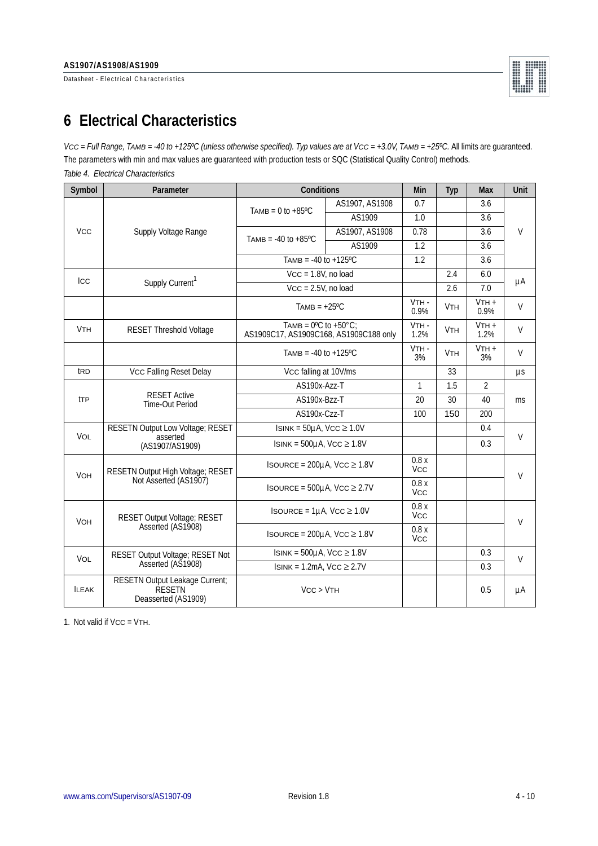Datasheet - Electrical Characteristics



# <span id="page-3-1"></span>**6 Electrical Characteristics**

*VCC = Full Range, TAMB = -40 to +125ºC (unless otherwise specified). Typ values are at VCC = +3.0V, TAMB = +25ºC.* All limits are guaranteed. The parameters with min and max values are guaranteed with production tests or SQC (Statistical Quality Control) methods. *Table 4. Electrical Characteristics*

<span id="page-3-0"></span>

| Symbol                | Parameter                                                       | Conditions                                                                          |                | Min                | Typ                   | Max             | <b>Unit</b> |  |
|-----------------------|-----------------------------------------------------------------|-------------------------------------------------------------------------------------|----------------|--------------------|-----------------------|-----------------|-------------|--|
|                       |                                                                 | TAMB = $0$ to $+85^{\circ}$ C                                                       | AS1907, AS1908 | 0.7                |                       | 3.6             | $\vee$      |  |
|                       |                                                                 |                                                                                     | AS1909         | 1.0                |                       | 3.6             |             |  |
| <b>V<sub>CC</sub></b> | Supply Voltage Range                                            | TAMB = $-40$ to $+85^{\circ}$ C                                                     | AS1907, AS1908 | 0.78               |                       | 3.6             |             |  |
|                       |                                                                 |                                                                                     | AS1909         | 1.2                |                       | 3.6             |             |  |
|                       |                                                                 | TAMB = $-40$ to $+125$ °C                                                           |                | 1.2                |                       | 3.6             |             |  |
| Icc                   |                                                                 | $VCC = 1.8V$ , no load                                                              |                |                    | 2.4                   | 6.0             | μA          |  |
|                       | Supply Current <sup>1</sup>                                     | $Vcc = 2.5V$ , no load                                                              |                |                    | 2.6                   | 7.0             |             |  |
|                       |                                                                 | $TAMB = +25^{\circ}C$                                                               |                | $VTH -$<br>0.9%    | <b>V<sub>TH</sub></b> | $VTH +$<br>0.9% | $\vee$      |  |
| <b>VTH</b>            | <b>RESET Threshold Voltage</b>                                  | TAMB = $0^{\circ}$ C to +50 $^{\circ}$ C:<br>AS1909C17, AS1909C168, AS1909C188 only |                | VTH-<br>1.2%       | <b>V<sub>TH</sub></b> | $VTH +$<br>1.2% | $\vee$      |  |
|                       |                                                                 | TAMB = $-40$ to $+125$ °C                                                           |                | VTH-<br>3%         | <b>V<sub>TH</sub></b> | $VTH +$<br>3%   | $\vee$      |  |
| t <sub>RD</sub>       | Vcc Falling Reset Delay                                         | Vcc falling at 10V/ms                                                               |                |                    | 33                    |                 | $\mu s$     |  |
|                       | <b>RESET Active</b><br>Time-Out Period                          | AS190x-Azz-T                                                                        |                | $\mathbf{1}$       | 1.5                   | $\overline{2}$  | ms          |  |
| <b>tTP</b>            |                                                                 | AS190x-Bzz-T                                                                        | 20             | 30                 | 40                    |                 |             |  |
|                       |                                                                 | AS190x-Czz-T                                                                        |                | 100                | 150                   | 200             |             |  |
| <b>VOL</b>            | RESETN Output Low Voltage; RESET<br>asserted                    | $\overline{ISINK} = 50\mu A$ , VCC $\geq 1.0V$                                      |                |                    |                       | 0.4             | $\vee$      |  |
|                       | (AS1907/AS1909)                                                 | $ISINK = 500µA$ , VCC $\geq 1.8V$                                                   |                |                    |                       | 0.3             |             |  |
| VOH                   | RESETN Output High Voltage; RESET                               | ISOURCE = $200\mu$ A, VCC $\geq 1.8V$                                               |                | 0.8x<br><b>Vcc</b> |                       |                 | $\vee$      |  |
|                       | Not Asserted (AS1907)                                           | ISOURCE = $500\mu$ A, Vcc $\geq 2.7V$                                               |                | 0.8x<br><b>Vcc</b> |                       |                 |             |  |
| <b>VOH</b>            | RESET Output Voltage; RESET<br>Asserted (AS1908)                | ISOURCE = $1\mu$ A, VCC $\geq 1.0V$                                                 |                | 0.8x<br><b>VCC</b> |                       |                 | $\vee$      |  |
|                       |                                                                 | ISOURCE = $200\mu$ A, VCC $\geq 1.8V$                                               |                | 0.8x<br><b>VCC</b> |                       |                 |             |  |
| <b>VOL</b>            | RESET Output Voltage; RESET Not                                 | $ISINK = 500µA$ , VCC $\geq 1.8V$                                                   |                |                    |                       | 0.3             | V           |  |
|                       | Asserted (AS1908)                                               | $IsINK = 1.2mA, VCC \ge 2.7V$                                                       |                |                    |                       | 0.3             |             |  |
| <b>ILEAK</b>          | RESETN Output Leakage Current;<br>RESETN<br>Deasserted (AS1909) | VCC > VTH                                                                           |                |                    |                       | 0.5             | μA          |  |

1. Not valid if Vcc = VTH.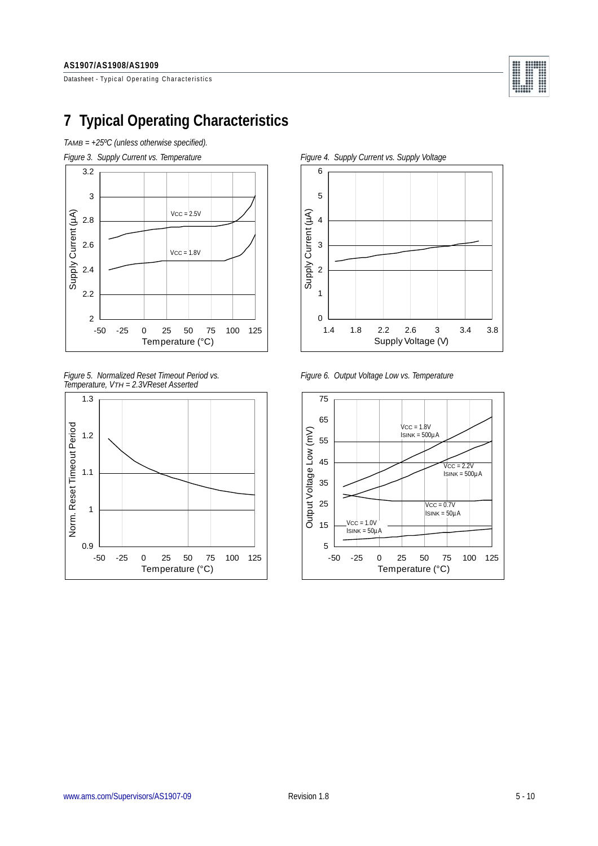Datasheet - Typical Operating Characteristics



## <span id="page-4-0"></span>**7 Typical Operating Characteristics**





*Figure 5. Normalized Reset Timeout Period vs. Figure 6. Output Voltage Low vs. Temperature Temperature, VTH = 2.3VReset Asserted*





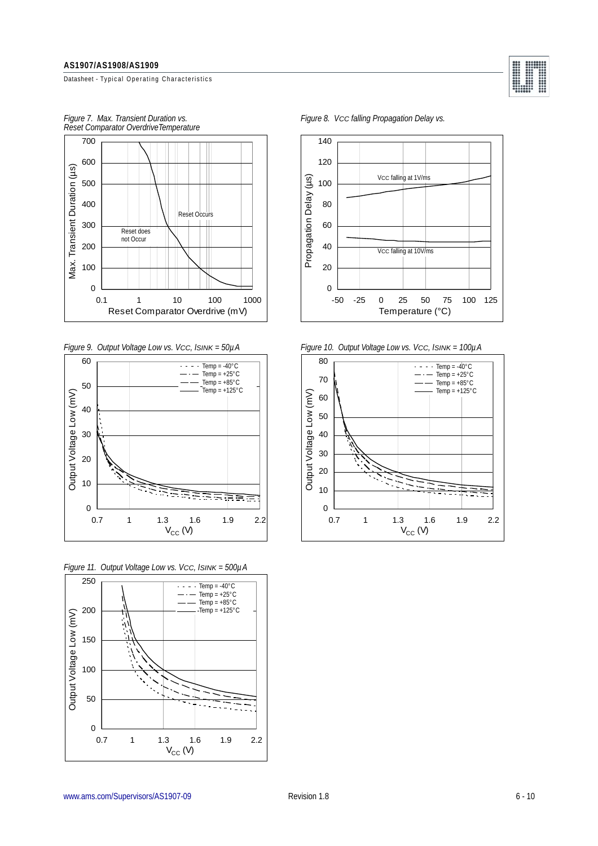Datasheet - Typical Operating Characteristics



*Reset Comparator OverdriveTemperature*



*Figure 11. Output Voltage Low vs. VCC, ISINK = 500µA*



*Figure 7. Max. Transient Duration vs. Figure 8. VCC falling Propagation Delay vs.*



..........

*Figure 9. Output Voltage Low vs. VCC, ISINK = 50µA Figure 10. Output Voltage Low vs. VCC, ISINK = 100µA*

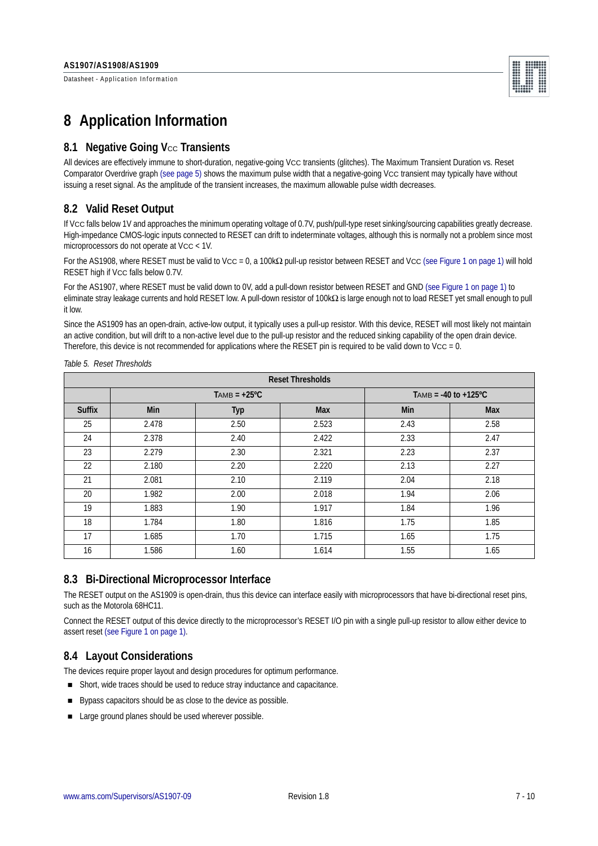Datasheet - Application Information



### **8 Application Information**

#### **8.1 Negative Going Vcc Transients**

All devices are effectively immune to short-duration, negative-going VCC transients (glitches). The Maximum Transient Duration vs. Reset Comparator Overdrive graph [\(see page 5\)](#page-4-0) shows the maximum pulse width that a negative-going Vcc transient may typically have without issuing a reset signal. As the amplitude of the transient increases, the maximum allowable pulse width decreases.

#### **8.2 Valid Reset Output**

If VCC falls below 1V and approaches the minimum operating voltage of 0.7V, push/pull-type reset sinking/sourcing capabilities greatly decrease. High-impedance CMOS-logic inputs connected to RESET can drift to indeterminate voltages, although this is normally not a problem since most microprocessors do not operate at VCC < 1V.

For the AS1908, where RESET must be valid to Vcc = 0, a 100kΩ pull-up resistor between RESET and Vcc [\(see Figure 1 on page 1\)](#page-0-1) will hold RESET high if Vcc falls below 0.7V.

For the AS1907, where RESET must be valid down to 0V, add a pull-down resistor between RESET and GND [\(see Figure 1 on page 1\)](#page-0-1) to eliminate stray leakage currents and hold RESET low. A pull-down resistor of 100kΩ is large enough not to load RESET yet small enough to pull it low.

Since the AS1909 has an open-drain, active-low output, it typically uses a pull-up resistor. With this device, RESET will most likely not maintain an active condition, but will drift to a non-active level due to the pull-up resistor and the reduced sinking capability of the open drain device. Therefore, this device is not recommended for applications where the RESET pin is required to be valid down to Vcc = 0.

| <b>Reset Thresholds</b> |       |                |                           |            |            |  |  |
|-------------------------|-------|----------------|---------------------------|------------|------------|--|--|
|                         |       | $TAMB = +25°C$ | TAMB = $-40$ to $+125$ °C |            |            |  |  |
| <b>Suffix</b>           | Min   | Typ            | <b>Max</b>                | <b>Min</b> | <b>Max</b> |  |  |
| 25                      | 2.478 | 2.50           | 2.523                     | 2.43       | 2.58       |  |  |
| 24                      | 2.378 | 2.40           | 2.422                     | 2.33       | 2.47       |  |  |
| 23                      | 2.279 | 2.30           | 2.321                     | 2.23       | 2.37       |  |  |
| 22                      | 2.180 | 2.20           | 2.220                     | 2.13       | 2.27       |  |  |
| 21                      | 2.081 | 2.10           | 2.119                     | 2.04       | 2.18       |  |  |
| 20                      | 1.982 | 2.00           | 2.018                     | 1.94       | 2.06       |  |  |
| 19                      | 1.883 | 1.90           | 1.917                     | 1.84       | 1.96       |  |  |
| 18                      | 1.784 | 1.80           | 1.816                     | 1.75       | 1.85       |  |  |
| 17                      | 1.685 | 1.70           | 1.715                     | 1.65       | 1.75       |  |  |
| 16                      | 1.586 | 1.60           | 1.614                     | 1.55       | 1.65       |  |  |

<span id="page-6-0"></span>*Table 5. Reset Thresholds*

### **8.3 Bi-Directional Microprocessor Interface**

The RESET output on the AS1909 is open-drain, thus this device can interface easily with microprocessors that have bi-directional reset pins, such as the Motorola 68HC11.

Connect the RESET output of this device directly to the microprocessor's RESET I/O pin with a single pull-up resistor to allow either device to assert reset [\(see Figure 1 on page 1\).](#page-0-1)

#### **8.4 Layout Considerations**

The devices require proper layout and design procedures for optimum performance.

- Short, wide traces should be used to reduce stray inductance and capacitance.
- Bypass capacitors should be as close to the device as possible.
- Large ground planes should be used wherever possible.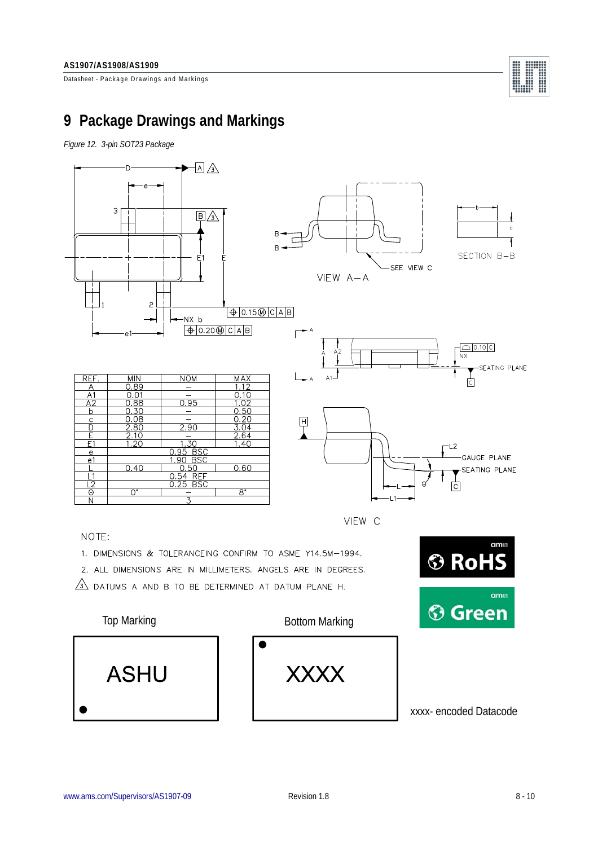Datasheet - Package Drawings and Markings



## **9 Package Drawings and Markings**

*Figure 12. 3-pin SOT23 Package*



NOTE:

- 1. DIMENSIONS & TOLERANCEING CONFIRM TO ASME Y14.5M-1994.
- 2. ALL DIMENSIONS ARE IN MILLIMETERS. ANGELS ARE IN DEGREES.
- $\sqrt{3}$  DATUMS A AND B TO BE DETERMINED AT DATUM PLANE H.



amin

amu

**® RoHS**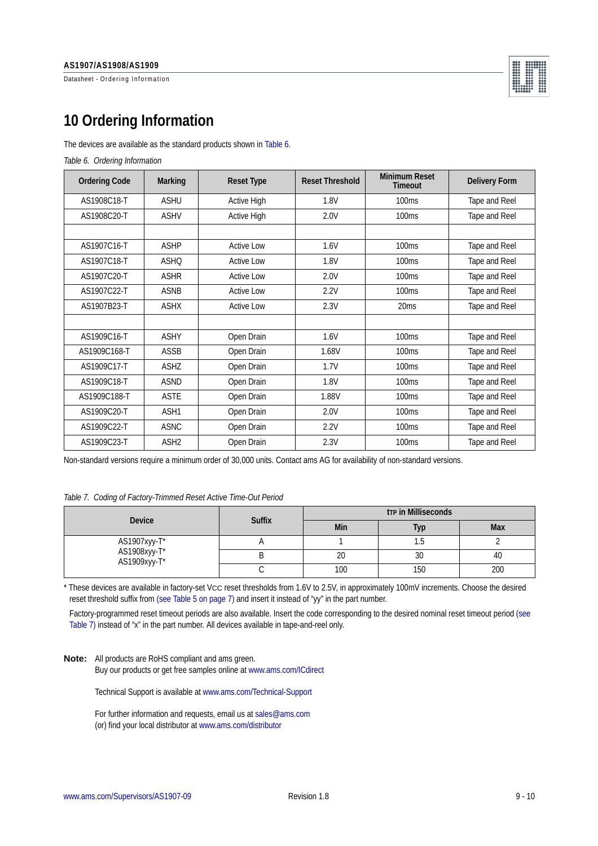Datasheet - Ordering Information



# <span id="page-8-0"></span>**10 Ordering Information**

The devices are available as the standard products shown in [Table 6](#page-8-2).

<span id="page-8-2"></span>*Table 6. Ordering Information*

| <b>Ordering Code</b> | <b>Marking</b>   | <b>Reset Type</b>  | <b>Reset Threshold</b> | <b>Minimum Reset</b><br>Timeout | <b>Delivery Form</b> |
|----------------------|------------------|--------------------|------------------------|---------------------------------|----------------------|
| AS1908C18-T          | <b>ASHU</b>      | <b>Active High</b> | 1.8V                   | 100ms                           | Tape and Reel        |
| AS1908C20-T          | <b>ASHV</b>      | <b>Active High</b> | 2.0V                   | 100 <sub>ms</sub>               | Tape and Reel        |
|                      |                  |                    |                        |                                 |                      |
| AS1907C16-T          | <b>ASHP</b>      | <b>Active Low</b>  | 1.6V                   | 100 <sub>ms</sub>               | Tape and Reel        |
| AS1907C18-T          | <b>ASHO</b>      | <b>Active Low</b>  | 1.8V                   | 100 <sub>ms</sub>               | Tape and Reel        |
| AS1907C20-T          | <b>ASHR</b>      | <b>Active Low</b>  | 2.0V                   | 100 <sub>ms</sub>               | Tape and Reel        |
| AS1907C22-T          | <b>ASNB</b>      | <b>Active Low</b>  | 2.2V                   | 100 <sub>ms</sub>               | Tape and Reel        |
| AS1907B23-T          | <b>ASHX</b>      | <b>Active Low</b>  | 2.3V                   | 20 <sub>ms</sub>                | Tape and Reel        |
|                      |                  |                    |                        |                                 |                      |
| AS1909C16-T          | <b>ASHY</b>      | Open Drain         | 1.6V                   | 100 <sub>ms</sub>               | Tape and Reel        |
| AS1909C168-T         | ASSB             | Open Drain         | 1.68V                  | 100 <sub>ms</sub>               | Tape and Reel        |
| AS1909C17-T          | <b>ASHZ</b>      | Open Drain         | 1.7V                   | 100ms                           | Tape and Reel        |
| AS1909C18-T          | <b>ASND</b>      | Open Drain         | 1.8V                   | 100ms                           | Tape and Reel        |
| AS1909C188-T         | <b>ASTE</b>      | Open Drain         | 1.88V                  | 100ms                           | Tape and Reel        |
| AS1909C20-T          | ASH <sub>1</sub> | Open Drain         | 2.0V                   | 100 <sub>ms</sub>               | Tape and Reel        |
| AS1909C22-T          | <b>ASNC</b>      | Open Drain         | 2.2V                   | 100 <sub>ms</sub>               | Tape and Reel        |
| AS1909C23-T          | ASH <sub>2</sub> | Open Drain         | 2.3V                   | 100 <sub>ms</sub>               | Tape and Reel        |

Non-standard versions require a minimum order of 30,000 units. Contact ams AG for availability of non-standard versions.

#### <span id="page-8-1"></span>*Table 7. Coding of Factory-Trimmed Reset Active Time-Out Period*

| <b>Device</b>                                | <b>Suffix</b> | <b>trp in Milliseconds</b> |     |            |  |
|----------------------------------------------|---------------|----------------------------|-----|------------|--|
|                                              |               | Min                        | Тур | <b>Max</b> |  |
|                                              |               |                            | l.5 |            |  |
| AS1907xyy-T*<br>AS1908xyy-T*<br>AS1909xyy-T* |               | 20                         | 30  | 40         |  |
|                                              |               | 100                        | 150 | 200        |  |

\* These devices are available in factory-set VCC reset thresholds from 1.6V to 2.5V, in approximately 100mV increments. Choose the desired reset threshold suffix from [\(see Table 5 on page 7\)](#page-6-0) and insert it instead of "yy" in the part number.

Factory-programmed reset timeout periods are also available. Insert the code corresponding to the desired nominal reset timeout period [\(see](#page-8-1)  [Table 7\)](#page-8-1) instead of "x" in the part number. All devices available in tape-and-reel only.

**Note:** All products are RoHS compliant and ams green. Buy our products or get free samples online at www.ams.com/ICdirect

Technical Support is available at www.ams.com/Technical-Support

For further information and requests, email us at sales@ams.com (or) find your local distributor at www.ams.com/distributor